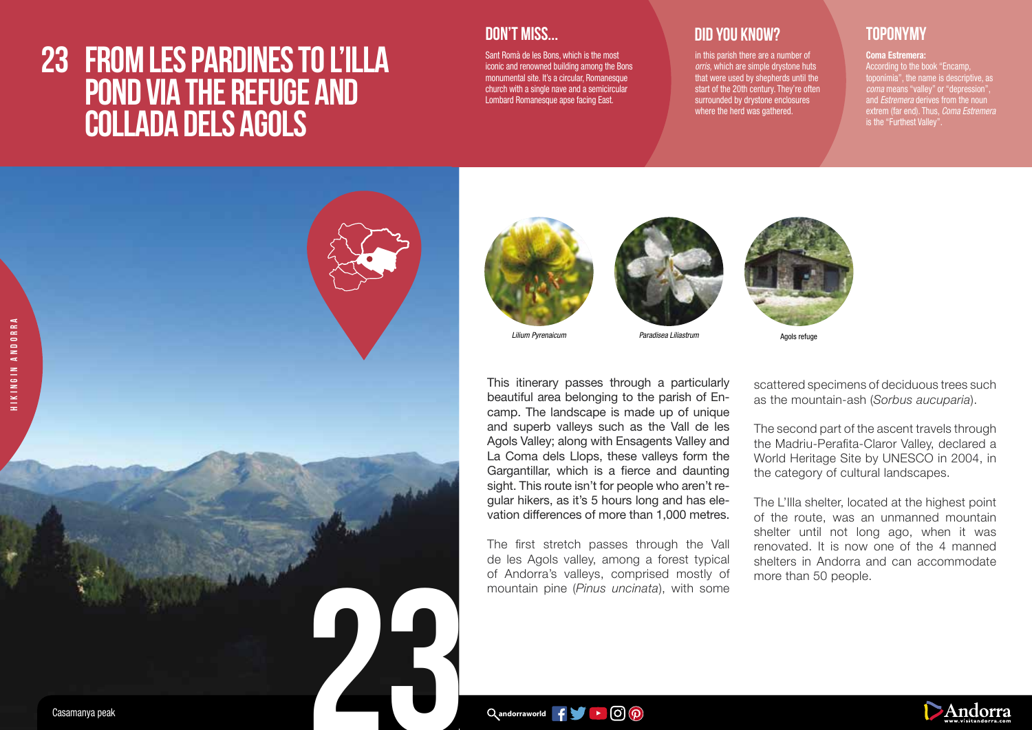## **23 FROM LES PARDINES TO L'ILLA POND VIA THE REFUGE AND COLLADA DELS AGOLS**



Sant Romà de les Bons, which is the most iconic and renowned building among the Bons monumental site. It's a circular, Romanesque church with a single nave and a semicircular Lombard Romanesque apse facing East.

### **DID YOU KNOW? TOPONYMY**

in this parish there are a number of *orris,* which are simple drystone huts that were used by shepherds until the start of the 20th century. They're often surrounded by drystone enclosures where the herd was gathered.

Agols refuge

Coma Estremera: According to the book "Encamp, toponímia", the name is descriptive, as *coma* means "valley" or "depression", and *Estremera* derives from the noun extrem (far end). Thus, *Coma Estremera*  is the "Furthest Valley".





*Lilium Pyrenaicum Paradisea Liliastrum*

This itinerary passes through a particularly beautiful area belonging to the parish of Encamp. The landscape is made up of unique and superb valleys such as the Vall de les Agols Valley; along with Ensagents Valley and La Coma dels Llops, these valleys form the Gargantillar, which is a fierce and daunting sight. This route isn't for people who aren't regular hikers, as it's 5 hours long and has elevation differences of more than 1,000 metres.

The first stretch passes through the Vall de les Agols valley, among a forest typical of Andorra's valleys, comprised mostly of mountain pine (*Pinus uncinata*), with some

scattered specimens of deciduous trees such as the mountain-ash (*Sorbus aucuparia*).

The second part of the ascent travels through the Madriu-Perafita-Claror Valley, declared a World Heritage Site by UNESCO in 2004, in the category of cultural landscapes.

The L'Illa shelter, located at the highest point of the route, was an unmanned mountain shelter until not long ago, when it was renovated. It is now one of the 4 manned shelters in Andorra and can accommodate more than 50 people.